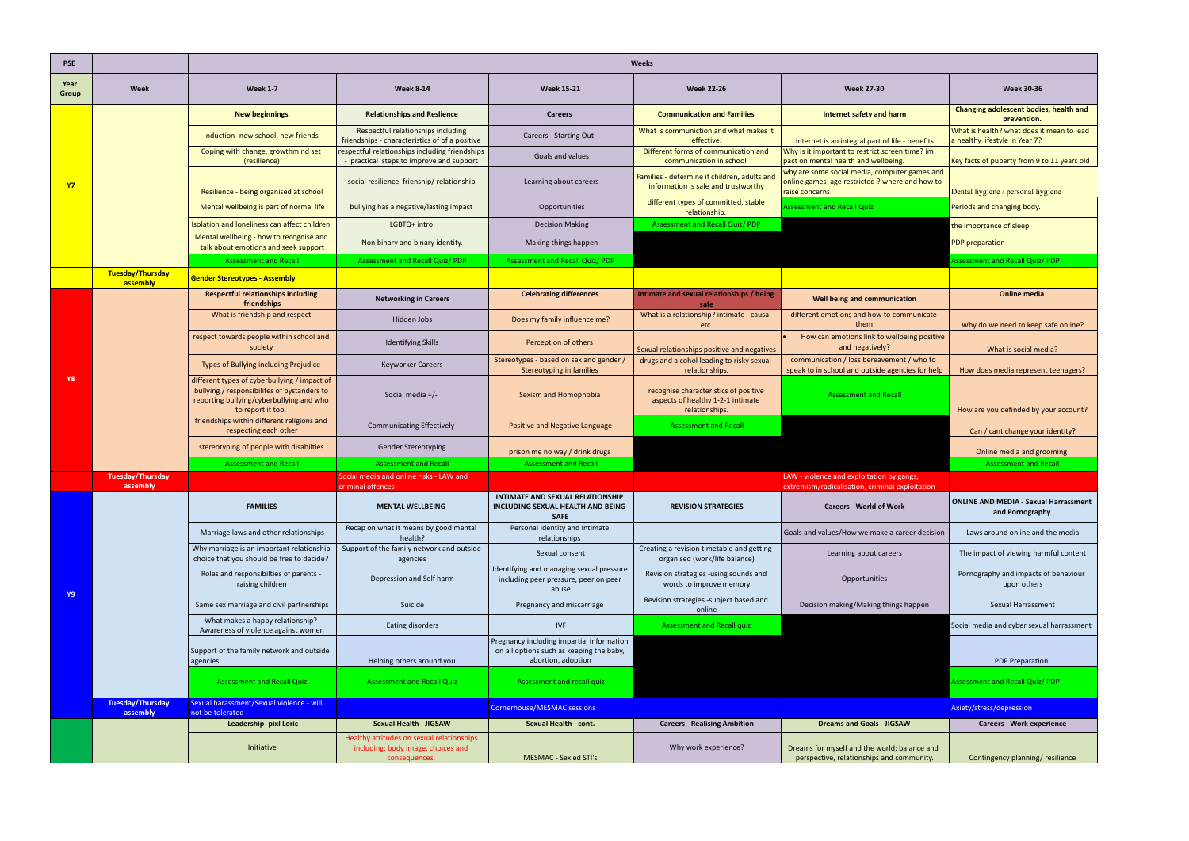| <b>PSE</b>    |                                     | <b>Weeks</b>                                                                                                                                                 |                                                                                                  |                                                                                                             |                                                                                              |                                                                                                                   |                                                                             |  |
|---------------|-------------------------------------|--------------------------------------------------------------------------------------------------------------------------------------------------------------|--------------------------------------------------------------------------------------------------|-------------------------------------------------------------------------------------------------------------|----------------------------------------------------------------------------------------------|-------------------------------------------------------------------------------------------------------------------|-----------------------------------------------------------------------------|--|
| Year<br>Group | Week                                | <b>Week 1-7</b>                                                                                                                                              | <b>Week 8-14</b>                                                                                 | <b>Week 15-21</b>                                                                                           | <b>Week 22-26</b>                                                                            | <b>Week 27-30</b>                                                                                                 | <b>Week 30-36</b>                                                           |  |
| <b>Y7</b>     |                                     | <b>New beginnings</b>                                                                                                                                        | <b>Relationships and Reslience</b>                                                               | <b>Careers</b>                                                                                              | <b>Communication and Families</b>                                                            | Internet safety and harm                                                                                          | Changing adolescent bodies, health and<br>prevention.                       |  |
|               |                                     | Induction- new school, new friends                                                                                                                           | Respectful relationships including<br>friendships - characteristics of of a positive             | Careers - Starting Out                                                                                      | What is communiction and what makes it<br>effective.                                         | Internet is an integral part of life - benefits                                                                   | What is health? what does it mean to lead<br>a healthy lifestyle in Year 7? |  |
|               |                                     | Coping with change, growthmind set<br>(resilience)                                                                                                           | respectful relationships including friendships<br>- practical steps to improve and support       | Goals and values                                                                                            | Different forms of communication and<br>communication in school                              | Why is it important to restrict screen time? im<br>pact on mental health and wellbeing.                           | Key facts of puberty from 9 to 11 years old                                 |  |
|               |                                     | Resilience - being organised at school                                                                                                                       | social resilience frienship/relationship                                                         | Learning about careers                                                                                      | Families - determine if children, adults and<br>information is safe and trustworthy          | why are some social media, computer games and<br>online games age restricted ? where and how to<br>raise concerns | Dental hygiene / personal hygiene                                           |  |
|               |                                     | Mental wellbeing is part of normal life                                                                                                                      | bullying has a negative/lasting impact                                                           | Opportunities                                                                                               | different types of committed, stable<br>relationship.                                        | Assessment and Recall Quiz                                                                                        | Periods and changing body.                                                  |  |
|               |                                     | Isolation and loneliness can affect children                                                                                                                 | LGBTQ+ intro                                                                                     | <b>Decision Making</b>                                                                                      | <b>Assessment and Recall Quiz/ PDP</b>                                                       |                                                                                                                   | the importance of sleep                                                     |  |
|               |                                     | Mental wellbeing - how to recognise and<br>talk about emotions and seek support                                                                              | Non binary and binary identity.                                                                  | Making things happen                                                                                        |                                                                                              |                                                                                                                   | PDP preparation                                                             |  |
|               |                                     | <b>Assessment and Recall</b>                                                                                                                                 | <b>Assessment and Recall Quiz/PDP</b>                                                            | <b>Assessment and Recall Quiz/ PDP</b>                                                                      |                                                                                              |                                                                                                                   | Assessment and Recall Quiz/ PDP                                             |  |
|               | Tuesday/Thursday<br>assembly        | <b>Gender Stereotypes - Assembly</b>                                                                                                                         |                                                                                                  |                                                                                                             |                                                                                              |                                                                                                                   |                                                                             |  |
|               |                                     | <b>Respectful relationships including</b><br>friendships                                                                                                     | <b>Networking in Careers</b>                                                                     | <b>Celebrating differences</b>                                                                              | Intimate and sexual relationships / being<br>safe                                            | Well being and communication                                                                                      | <b>Online media</b>                                                         |  |
|               |                                     | What is friendship and respect                                                                                                                               | Hidden Jobs                                                                                      | Does my family influence me?                                                                                | What is a relationship? intimate - causal<br>etc                                             | different emotions and how to communicate<br>them                                                                 | Why do we need to keep safe online?                                         |  |
|               |                                     | respect towards people within school and<br>society                                                                                                          | <b>Identifying Skills</b>                                                                        | Perception of others                                                                                        | Sexual relationships positive and negatives                                                  | How can emotions link to wellbeing positive<br>and negatively?                                                    | What is social media?                                                       |  |
| <b>Y8</b>     |                                     | Types of Bullying including Prejudice                                                                                                                        | <b>Keyworker Careers</b>                                                                         | Stereotypes - based on sex and gender<br><b>Stereotyping in families</b>                                    | drugs and alcohol leading to risky sexual<br>relationships.                                  | communication / loss bereavement / who to<br>speak to in school and outside agencies for help                     | How does media represent teenagers?                                         |  |
|               |                                     | different types of cyberbullying / impact of<br>bullying / responsibilites of bystanders to<br>reporting bullying/cyberbullying and who<br>to report it too. | Social media +/-                                                                                 | Sexism and Homophobia                                                                                       | recognise characteristics of positive<br>aspects of healthy 1-2-1 intimate<br>relationships. | <b>Assessment and Recall</b>                                                                                      | How are you definded by your account?                                       |  |
|               |                                     | friendships within different religions and<br>respecting each other                                                                                          | <b>Communicating Effectively</b>                                                                 | Positive and Negative Language                                                                              | <b>Assessment and Recall</b>                                                                 |                                                                                                                   | Can / cant change your identity?                                            |  |
|               |                                     | stereotyping of people with disabilties                                                                                                                      | <b>Gender Stereotyping</b>                                                                       | prison me no way / drink drugs                                                                              |                                                                                              |                                                                                                                   | Online media and grooming                                                   |  |
|               |                                     | <b>Assessment and Recall</b>                                                                                                                                 | <b>Assessment and Recall</b>                                                                     | <b>Assessment and Recall</b>                                                                                |                                                                                              |                                                                                                                   | <b>Assessment and Recall</b>                                                |  |
|               | <b>Tuesday/Thursday</b><br>assembly |                                                                                                                                                              | Social media and online risks - LAW and<br>criminal offences                                     |                                                                                                             |                                                                                              | LAW - violence and exploitation by gangs,<br>extremism/radicalisation, criminal exploitation                      |                                                                             |  |
|               |                                     | <b>FAMILIES</b>                                                                                                                                              | <b>MENTAL WELLBEING</b>                                                                          | INTIMATE AND SEXUAL RELATIONSHIP<br>INCLUDING SEXUAL HEALTH AND BEING<br><b>SAFE</b>                        | <b>REVISION STRATEGIES</b>                                                                   | <b>Careers - World of Work</b>                                                                                    | <b>ONLINE AND MEDIA - Sexual Harrassment</b><br>and Pornography             |  |
|               |                                     | Marriage laws and other relationships                                                                                                                        | Recap on what it means by good mental<br>health?                                                 | Personal Identity and Intimate<br>relationships                                                             |                                                                                              | Goals and values/How we make a career decision                                                                    | Laws around online and the media                                            |  |
|               |                                     | Why marriage is an important relationship<br>choice that you should be free to decide?                                                                       | Support of the family network and outside<br>agencies                                            | Sexual consent                                                                                              | Creating a revision timetable and getting<br>organised (work/life balance)                   | Learning about careers                                                                                            | The impact of viewing harmful content                                       |  |
| Y9            |                                     | Roles and responsibilties of parents -<br>raising children                                                                                                   | Depression and Self harm                                                                         | Identifying and managing sexual pressure<br>including peer pressure, peer on peer<br>abuse                  | Revision strategies -using sounds and<br>words to improve memory                             | Opportunities                                                                                                     | Pornography and impacts of behaviour<br>upon others                         |  |
|               |                                     | Same sex marriage and civil partnerships                                                                                                                     | Suicide                                                                                          | Pregnancy and miscarriage                                                                                   | Revision strategies -subject based and<br>online                                             | Decision making/Making things happen                                                                              | Sexual Harrassment                                                          |  |
|               |                                     | What makes a happy relationship?<br>Awareness of violence against women                                                                                      | Eating disorders                                                                                 | <b>IVF</b>                                                                                                  | <b>Assessment and Recall quiz</b>                                                            |                                                                                                                   | Social media and cyber sexual harrassment                                   |  |
|               |                                     | Support of the family network and outside<br>agencies.                                                                                                       | Helping others around you                                                                        | Pregnancy including impartial information<br>on all options such as keeping the baby,<br>abortion, adoption |                                                                                              |                                                                                                                   | <b>PDP Preparation</b>                                                      |  |
|               |                                     | <b>Assessment and Recall Quiz</b>                                                                                                                            | <b>Assessment and Recall Quiz</b>                                                                | Assessment and recall quiz                                                                                  |                                                                                              |                                                                                                                   | Assessment and Recall Quiz/ PDP                                             |  |
|               | <b>Tuesday/Thursday</b><br>assembly | Sexual harassment/Sexual violence - will<br>not be tolerated                                                                                                 |                                                                                                  | <b>Cornerhouse/MESMAC sessions</b>                                                                          |                                                                                              |                                                                                                                   | Axiety/stress/depression                                                    |  |
|               |                                     | Leadership- pixl Loric                                                                                                                                       | <b>Sexual Health - JIGSAW</b>                                                                    | Sexual Health - cont.                                                                                       | <b>Careers - Realising Ambition</b>                                                          | <b>Dreams and Goals - JIGSAW</b>                                                                                  | <b>Careers - Work experience</b>                                            |  |
|               |                                     | Initiative                                                                                                                                                   | Healthy attitudes on sexual relationships<br>including; body image, choices and<br>consequences. | MESMAC - Sex ed STI's                                                                                       | Why work experience?                                                                         | Dreams for myself and the world; balance and<br>perspective, relationships and community.                         | Contingency planning/resilience                                             |  |
|               |                                     |                                                                                                                                                              |                                                                                                  |                                                                                                             |                                                                                              |                                                                                                                   |                                                                             |  |